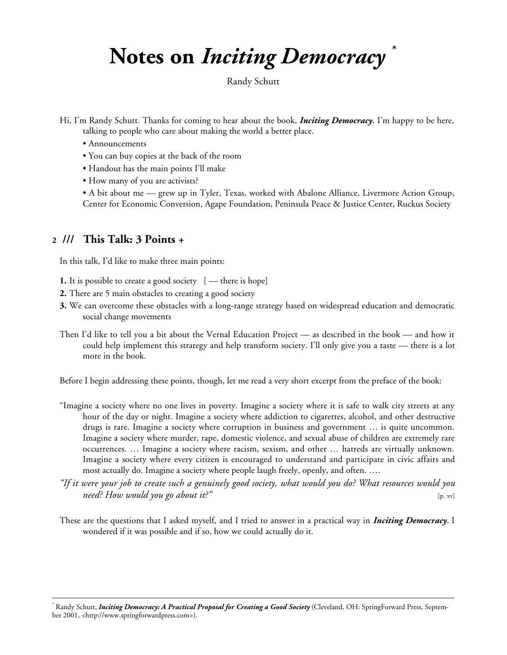# **Notes on** *Inciting Democracy* \*

Randy Schutt

- Hi, I'm Randy Schutt. Thanks for coming to hear about the book, *Inciting Democracy*. I'm happy to be here, talking to people who care about making the world a better place.
	- Announcements
	- You can buy copies at the back of the room
	- Handout has the main points I'll make
	- How many of you are activists?

• A bit about me — grew up in Tyler, Texas, worked with Abalone Alliance, Livermore Action Group, Center for Economic Conversion, Agape Foundation, Peninsula Peace & Justice Center, Ruckus Society

# **2 /// This Talk: 3 Points +**

 $\overline{a}$ 

In this talk, I'd like to make three main points:

- **1.** It is possible to create a good society  $[-$  there is hope]
- **2.** There are 5 main obstacles to creating a good society
- **3.** We can overcome these obstacles with a long-range strategy based on widespread education and democratic social change movements
- Then I'd like to tell you a bit about the Vernal Education Project as described in the book and how it could help implement this strategy and help transform society. I'll only give you a taste — there is a lot more in the book.

Before I begin addressing these points, though, let me read a very short excerpt from the preface of the book:

- "Imagine a society where no one lives in poverty. Imagine a society where it is safe to walk city streets at any hour of the day or night. Imagine a society where addiction to cigarettes, alcohol, and other destructive drugs is rare. Imagine a society where corruption in business and government … is quite uncommon. Imagine a society where murder, rape, domestic violence, and sexual abuse of children are extremely rare occurrences. … Imagine a society where racism, sexism, and other … hatreds are virtually unknown. Imagine a society where every citizen is encouraged to understand and participate in civic affairs and most actually do. Imagine a society where people laugh freely, openly, and often. ….
- *"If it were your job to create such a genuinely good society, what would you do? What resources would you need? How would you go about it?"* [p. xv]
- These are the questions that I asked myself, and I tried to answer in a practical way in *Inciting Democracy*. I wondered if it was possible and if so, how we could actually do it.

<sup>\*</sup> Randy Schutt, *Inciting Democracy: A Practical Proposal for Creating a Good Society* (Cleveland, OH: SpringForward Press, September 2001, [<http://www.springforwardpress.com>\).](http://www.springforwardpress.com>).)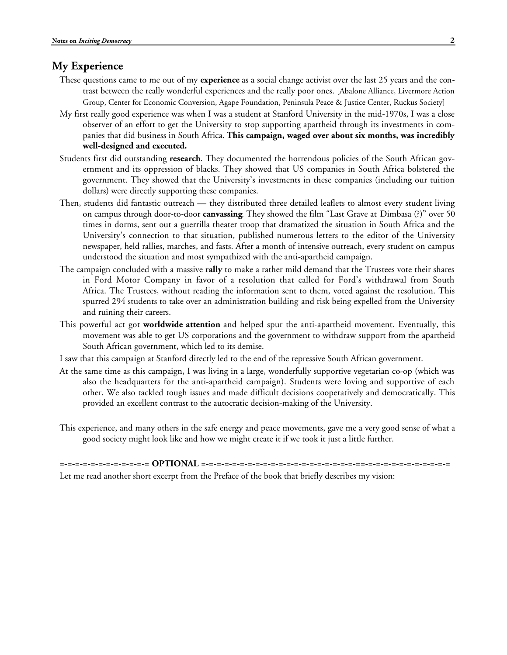### **My Experience**

- These questions came to me out of my **experience** as a social change activist over the last 25 years and the contrast between the really wonderful experiences and the really poor ones. [Abalone Alliance, Livermore Action Group, Center for Economic Conversion, Agape Foundation, Peninsula Peace & Justice Center, Ruckus Society]
- My first really good experience was when I was a student at Stanford University in the mid-1970s, I was a close observer of an effort to get the University to stop supporting apartheid through its investments in companies that did business in South Africa. **This campaign, waged over about six months, was incredibly well-designed and executed.**
- Students first did outstanding **research**. They documented the horrendous policies of the South African government and its oppression of blacks. They showed that US companies in South Africa bolstered the government. They showed that the University's investments in these companies (including our tuition dollars) were directly supporting these companies.
- Then, students did fantastic outreach they distributed three detailed leaflets to almost every student living on campus through door-to-door **canvassing**. They showed the film "Last Grave at Dimbasa (?)" over 50 times in dorms, sent out a guerrilla theater troop that dramatized the situation in South Africa and the University's connection to that situation, published numerous letters to the editor of the University newspaper, held rallies, marches, and fasts. After a month of intensive outreach, every student on campus understood the situation and most sympathized with the anti-apartheid campaign.
- The campaign concluded with a massive **rally** to make a rather mild demand that the Trustees vote their shares in Ford Motor Company in favor of a resolution that called for Ford's withdrawal from South Africa. The Trustees, without reading the information sent to them, voted against the resolution. This spurred 294 students to take over an administration building and risk being expelled from the University and ruining their careers.
- This powerful act got **worldwide attention** and helped spur the anti-apartheid movement. Eventually, this movement was able to get US corporations and the government to withdraw support from the apartheid South African government, which led to its demise.
- I saw that this campaign at Stanford directly led to the end of the repressive South African government.
- At the same time as this campaign, I was living in a large, wonderfully supportive vegetarian co-op (which was also the headquarters for the anti-apartheid campaign). Students were loving and supportive of each other. We also tackled tough issues and made difficult decisions cooperatively and democratically. This provided an excellent contrast to the autocratic decision-making of the University.
- This experience, and many others in the safe energy and peace movements, gave me a very good sense of what a good society might look like and how we might create it if we took it just a little further.

**=-=-=-=-=-=-=-=-=-=-=-= OPTIONAL =-=-=-=-=-=-=-=-=-=-=-=-=-=-=-=-=-=-=-=-==-=-=-=-=-=-=-=-=-=-=-=** Let me read another short excerpt from the Preface of the book that briefly describes my vision: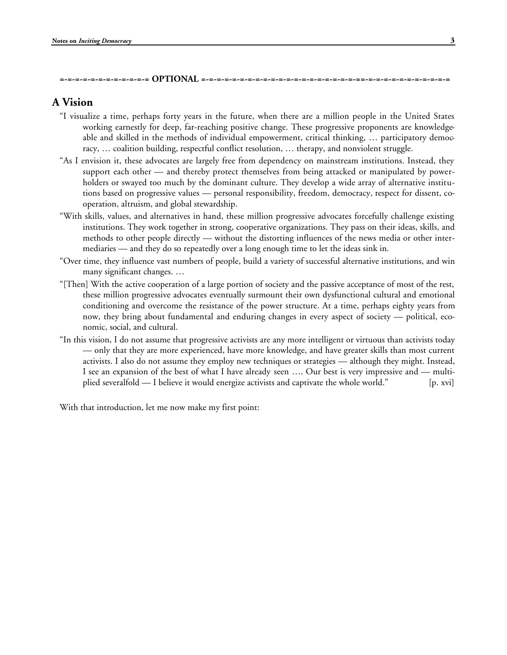#### **=-=-=-=-=-=-=-=-=-=-=-= OPTIONAL =-=-=-=-=-=-=-=-=-=-=-=-=-=-=-=-=-=-=-=-==-=-=-=-=-=-=-=-=-=-=-=**

# **A Vision**

- "I visualize a time, perhaps forty years in the future, when there are a million people in the United States working earnestly for deep, far-reaching positive change. These progressive proponents are knowledgeable and skilled in the methods of individual empowerment, critical thinking, … participatory democracy, … coalition building, respectful conflict resolution, … therapy, and nonviolent struggle.
- "As I envision it, these advocates are largely free from dependency on mainstream institutions. Instead, they support each other — and thereby protect themselves from being attacked or manipulated by powerholders or swayed too much by the dominant culture. They develop a wide array of alternative institutions based on progressive values — personal responsibility, freedom, democracy, respect for dissent, cooperation, altruism, and global stewardship.
- "With skills, values, and alternatives in hand, these million progressive advocates forcefully challenge existing institutions. They work together in strong, cooperative organizations. They pass on their ideas, skills, and methods to other people directly — without the distorting influences of the news media or other intermediaries — and they do so repeatedly over a long enough time to let the ideas sink in.
- "Over time, they influence vast numbers of people, build a variety of successful alternative institutions, and win many significant changes. …
- "[Then] With the active cooperation of a large portion of society and the passive acceptance of most of the rest, these million progressive advocates eventually surmount their own dysfunctional cultural and emotional conditioning and overcome the resistance of the power structure. At a time, perhaps eighty years from now, they bring about fundamental and enduring changes in every aspect of society — political, economic, social, and cultural.
- "In this vision, I do not assume that progressive activists are any more intelligent or virtuous than activists today — only that they are more experienced, have more knowledge, and have greater skills than most current activists. I also do not assume they employ new techniques or strategies — although they might. Instead, I see an expansion of the best of what I have already seen …. Our best is very impressive and — multiplied severalfold — I believe it would energize activists and captivate the whole world." [p. xvi]

With that introduction, let me now make my first point: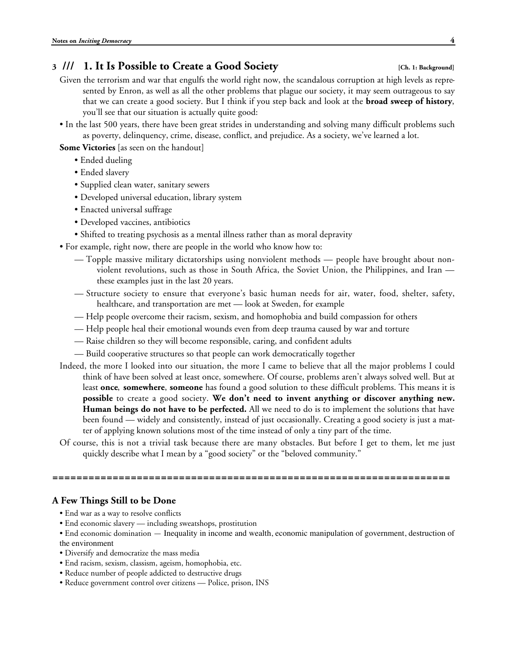# **3 /// 1. It Is Possible to Create a Good Society [Ch. 1: Background]**

- Given the terrorism and war that engulfs the world right now, the scandalous corruption at high levels as represented by Enron, as well as all the other problems that plague our society, it may seem outrageous to say that we can create a good society. But I think if you step back and look at the **broad sweep of history**, you'll see that our situation is actually quite good:
- In the last 500 years, there have been great strides in understanding and solving many difficult problems such as poverty, delinquency, crime, disease, conflict, and prejudice. As a society, we've learned a lot.
- **Some Victories** [as seen on the handout]
	- Ended dueling
	- Ended slavery
	- Supplied clean water, sanitary sewers
	- Developed universal education, library system
	- Enacted universal suffrage
	- Developed vaccines, antibiotics
	- Shifted to treating psychosis as a mental illness rather than as moral depravity
- For example, right now, there are people in the world who know how to:
	- Topple massive military dictatorships using nonviolent methods people have brought about nonviolent revolutions, such as those in South Africa, the Soviet Union, the Philippines, and Iran these examples just in the last 20 years.
	- Structure society to ensure that everyone's basic human needs for air, water, food, shelter, safety, healthcare, and transportation are met — look at Sweden, for example
	- Help people overcome their racism, sexism, and homophobia and build compassion for others
	- Help people heal their emotional wounds even from deep trauma caused by war and torture
	- Raise children so they will become responsible, caring, and confident adults
	- Build cooperative structures so that people can work democratically together
- Indeed, the more I looked into our situation, the more I came to believe that all the major problems I could think of have been solved at least once, somewhere. Of course, problems aren't always solved well. But at least **once**, **somewhere**, **someone** has found a good solution to these difficult problems. This means it is **possible** to create a good society. **We don't need to invent anything or discover anything new. Human beings do not have to be perfected.** All we need to do is to implement the solutions that have been found — widely and consistently, instead of just occasionally. Creating a good society is just a matter of applying known solutions most of the time instead of only a tiny part of the time.
- Of course, this is not a trivial task because there are many obstacles. But before I get to them, let me just quickly describe what I mean by a "good society" or the "beloved community."

**==================================================================**

# **A Few Things Still to be Done**

- End war as a way to resolve conflicts
- End economic slavery including sweatshops, prostitution
- End economic domination Inequality in income and wealth, economic manipulation of government, destruction of the environment
- Diversify and democratize the mass media
- End racism, sexism, classism, ageism, homophobia, etc.
- Reduce number of people addicted to destructive drugs
- Reduce government control over citizens Police, prison, INS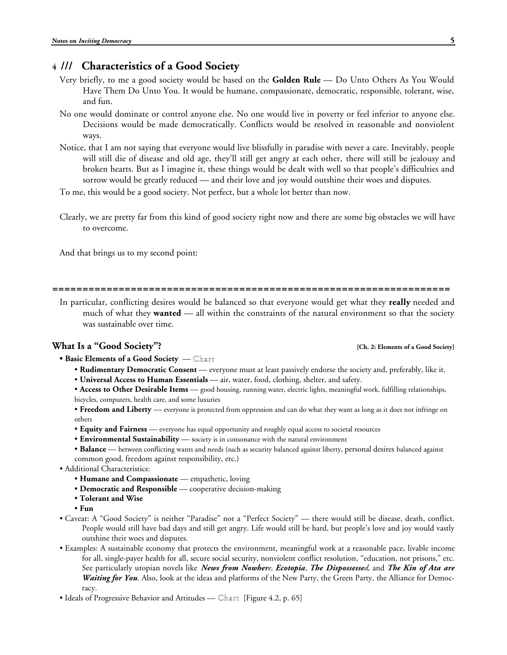# **4 /// Characteristics of a Good Society**

- Very briefly, to me a good society would be based on the **Golden Rule** Do Unto Others As You Would Have Them Do Unto You. It would be humane, compassionate, democratic, responsible, tolerant, wise, and fun.
- No one would dominate or control anyone else. No one would live in poverty or feel inferior to anyone else. Decisions would be made democratically. Conflicts would be resolved in reasonable and nonviolent ways.
- Notice, that I am not saying that everyone would live blissfully in paradise with never a care. Inevitably, people will still die of disease and old age, they'll still get angry at each other, there will still be jealousy and broken hearts. But as I imagine it, these things would be dealt with well so that people's difficulties and sorrow would be greatly reduced — and their love and joy would outshine their woes and disputes.
- To me, this would be a good society. Not perfect, but a whole lot better than now.
- Clearly, we are pretty far from this kind of good society right now and there are some big obstacles we will have to overcome.

And that brings us to my second point:

**==================================================================**

In particular, conflicting desires would be balanced so that everyone would get what they **really** needed and much of what they **wanted** — all within the constraints of the natural environment so that the society was sustainable over time.

## **What Is a "Good Society"? [Ch. 2: Elements of a Good Society]**

**• Basic Elements of a Good Society** — Chart

- **Rudimentary Democratic Consent** everyone must at least passively endorse the society and, preferably, like it.
- **Universal Access to Human Essentials** air, water, food, clothing, shelter, and safety.
- **Access to Other Desirable Items** good housing, running water, electric lights, meaningful work, fulfilling relationships, bicycles, computers, health care, and some luxuries
- **Freedom and Liberty** everyone is protected from oppression and can do what they want as long as it does not infringe on others
- **Equity and Fairness** everyone has equal opportunity and roughly equal access to societal resources
- **Environmental Sustainability** society is in consonance with the natural environment
- **Balance** between conflicting wants and needs (such as security balanced against liberty, personal desires balanced against common good, freedom against responsibility, etc.)
- Additional Characteristics:
	- **Humane and Compassionate** empathetic, loving
	- **Democratic and Responsible** cooperative decision-making
	- **Tolerant and Wise**
	- **Fun**
- Caveat: A "Good Society" is neither "Paradise" nor a "Perfect Society" there would still be disease, death, conflict. People would still have bad days and still get angry. Life would still be hard, but people's love and joy would vastly outshine their woes and disputes.
- Examples: A sustainable economy that protects the environment, meaningful work at a reasonable pace, livable income for all, single-payer health for all, secure social security, nonviolent conflict resolution, "education, not prisons," etc. See particularly utopian novels like *News from Nowhere, Ecotopia, The Dispossessed,* and *The Kin of Ata are Waiting for You*. Also, look at the ideas and platforms of the New Party, the Green Party, the Alliance for Democracy.
- Ideals of Progressive Behavior and Attitudes Chart [Figure 4.2, p. 65]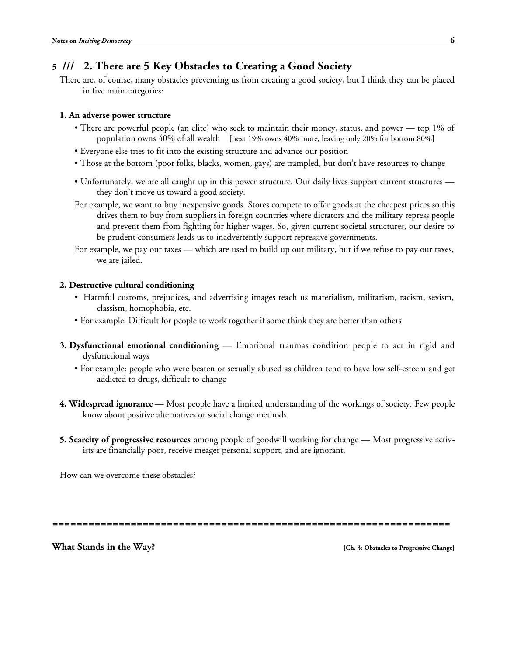# **5 /// 2. There are 5 Key Obstacles to Creating a Good Society**

There are, of course, many obstacles preventing us from creating a good society, but I think they can be placed in five main categories:

### **1. An adverse power structure**

- There are powerful people (an elite) who seek to maintain their money, status, and power top 1% of population owns 40% of all wealth [next 19% owns 40% more, leaving only 20% for bottom 80%]
- Everyone else tries to fit into the existing structure and advance our position
- Those at the bottom (poor folks, blacks, women, gays) are trampled, but don't have resources to change
- Unfortunately, we are all caught up in this power structure. Our daily lives support current structures they don't move us toward a good society.
- For example, we want to buy inexpensive goods. Stores compete to offer goods at the cheapest prices so this drives them to buy from suppliers in foreign countries where dictators and the military repress people and prevent them from fighting for higher wages. So, given current societal structures, our desire to be prudent consumers leads us to inadvertently support repressive governments.
- For example, we pay our taxes which are used to build up our military, but if we refuse to pay our taxes, we are jailed.

## **2. Destructive cultural conditioning**

- Harmful customs, prejudices, and advertising images teach us materialism, militarism, racism, sexism, classism, homophobia, etc.
- For example: Difficult for people to work together if some think they are better than others
- **3. Dysfunctional emotional conditioning** Emotional traumas condition people to act in rigid and dysfunctional ways
	- For example: people who were beaten or sexually abused as children tend to have low self-esteem and get addicted to drugs, difficult to change
- **4. Widespread ignorance** Most people have a limited understanding of the workings of society. Few people know about positive alternatives or social change methods.
- **5. Scarcity of progressive resources** among people of goodwill working for change Most progressive activists are financially poor, receive meager personal support, and are ignorant.

How can we overcome these obstacles?

**==================================================================**

**What Stands in the Way? [Ch. 3: Obstacles to Progressive Change]**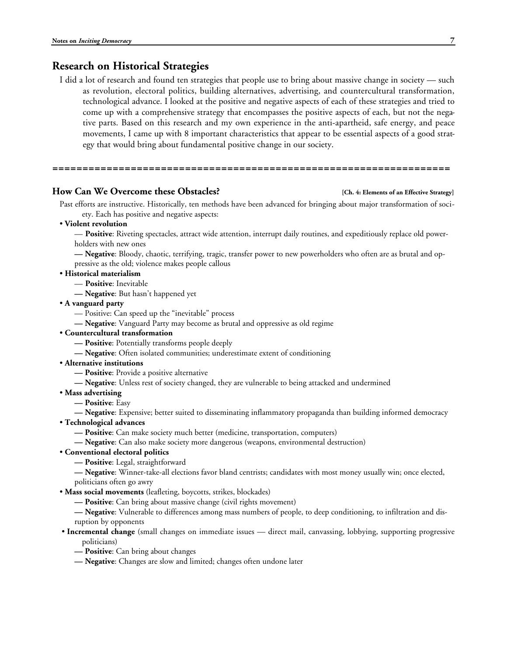# **Research on Historical Strategies**

I did a lot of research and found ten strategies that people use to bring about massive change in society — such as revolution, electoral politics, building alternatives, advertising, and countercultural transformation, technological advance. I looked at the positive and negative aspects of each of these strategies and tried to come up with a comprehensive strategy that encompasses the positive aspects of each, but not the negative parts. Based on this research and my own experience in the anti-apartheid, safe energy, and peace movements, I came up with 8 important characteristics that appear to be essential aspects of a good strategy that would bring about fundamental positive change in our society.

#### **How Can We Overcome these Obstacles? [Ch. 4: Elements of an Effective Strategy]**

Past efforts are instructive. Historically, ten methods have been advanced for bringing about major transformation of society. Each has positive and negative aspects:

• **Violent revolution**

**==================================================================**

— **Positive**: Riveting spectacles, attract wide attention, interrupt daily routines, and expeditiously replace old powerholders with new ones

**— Negative**: Bloody, chaotic, terrifying, tragic, transfer power to new powerholders who often are as brutal and oppressive as the old; violence makes people callous

- **Historical materialism**
	- **Positive**: Inevitable

**— Negative**: But hasn't happened yet

• **A vanguard party**

— Positive: Can speed up the "inevitable" process

**— Negative**: Vanguard Party may become as brutal and oppressive as old regime

• **Countercultural transformation**

**— Positive**: Potentially transforms people deeply

- **Negative**: Often isolated communities; underestimate extent of conditioning
- **Alternative institutions**
	- **Positive**: Provide a positive alternative

**— Negative**: Unless rest of society changed, they are vulnerable to being attacked and undermined

- **Mass advertising**
	- **Positive**: Easy

**— Negative**: Expensive; better suited to disseminating inflammatory propaganda than building informed democracy

- **Technological advances**
	- **Positive**: Can make society much better (medicine, transportation, computers)
	- **Negative**: Can also make society more dangerous (weapons, environmental destruction)
- **Conventional electoral politics**
	- **Positive**: Legal, straightforward

**— Negative**: Winner-take-all elections favor bland centrists; candidates with most money usually win; once elected, politicians often go awry

- **Mass social movements** (leafleting, boycotts, strikes, blockades)
	- **Positive**: Can bring about massive change (civil rights movement)

**— Negative**: Vulnerable to differences among mass numbers of people, to deep conditioning, to infiltration and disruption by opponents

- **Incremental change** (small changes on immediate issues direct mail, canvassing, lobbying, supporting progressive politicians)
	- **Positive**: Can bring about changes
	- **Negative**: Changes are slow and limited; changes often undone later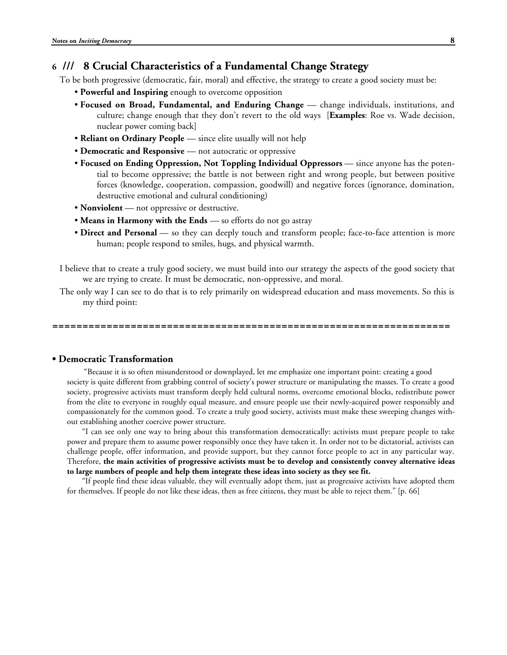# **6 /// 8 Crucial Characteristics of a Fundamental Change Strategy**

To be both progressive (democratic, fair, moral) and effective, the strategy to create a good society must be:

- **Powerful and Inspiring** enough to overcome opposition
- **Focused on Broad, Fundamental, and Enduring Change** change individuals, institutions, and culture; change enough that they don't revert to the old ways [**Examples**: Roe vs. Wade decision, nuclear power coming back]
- **Reliant on Ordinary People** since elite usually will not help
- **Democratic and Responsive** not autocratic or oppressive
- **Focused on Ending Oppression, Not Toppling Individual Oppressors** since anyone has the potential to become oppressive; the battle is not between right and wrong people, but between positive forces (knowledge, cooperation, compassion, goodwill) and negative forces (ignorance, domination, destructive emotional and cultural conditioning)
- **Nonviolent** not oppressive or destructive.
- **Means in Harmony with the Ends** so efforts do not go astray
- **Direct and Personal** so they can deeply touch and transform people; face-to-face attention is more human; people respond to smiles, hugs, and physical warmth.

I believe that to create a truly good society, we must build into our strategy the aspects of the good society that we are trying to create. It must be democratic, non-oppressive, and moral.

The only way I can see to do that is to rely primarily on widespread education and mass movements. So this is my third point:

**==================================================================**

### **• Democratic Transformation**

 "Because it is so often misunderstood or downplayed, let me emphasize one important point: creating a good society is quite different from grabbing control of society's power structure or manipulating the masses. To create a good society, progressive activists must transform deeply held cultural norms, overcome emotional blocks, redistribute power from the elite to everyone in roughly equal measure, and ensure people use their newly-acquired power responsibly and compassionately for the common good. To create a truly good society, activists must make these sweeping changes without establishing another coercive power structure.

"I can see only one way to bring about this transformation democratically: activists must prepare people to take power and prepare them to assume power responsibly once they have taken it. In order not to be dictatorial, activists can challenge people, offer information, and provide support, but they cannot force people to act in any particular way. Therefore, **the main activities of progressive activists must be to develop and consistently convey alternative ideas to large numbers of people and help them integrate these ideas into society as they see fit.**

"If people find these ideas valuable, they will eventually adopt them, just as progressive activists have adopted them for themselves. If people do not like these ideas, then as free citizens, they must be able to reject them." [p. 66]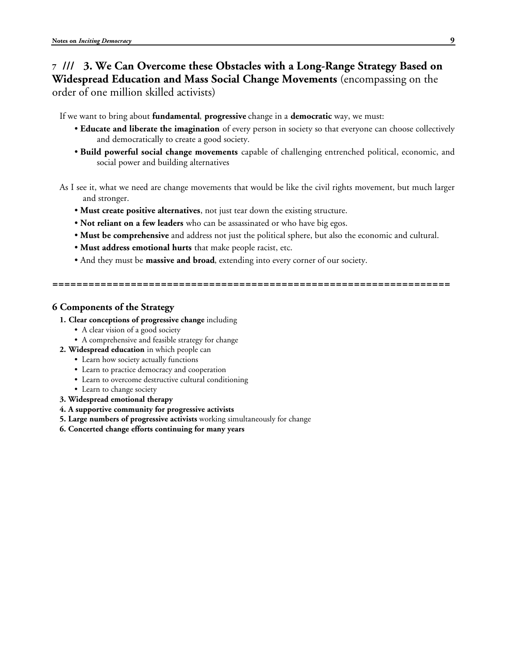# **7 /// 3. We Can Overcome these Obstacles with a Long-Range Strategy Based on Widespread Education and Mass Social Change Movements** (encompassing on the order of one million skilled activists)

If we want to bring about **fundamental**, **progressive** change in a **democratic** way, we must:

- **Educate and liberate the imagination** of every person in society so that everyone can choose collectively and democratically to create a good society.
- **Build powerful social change movements** capable of challenging entrenched political, economic, and social power and building alternatives

As I see it, what we need are change movements that would be like the civil rights movement, but much larger and stronger.

- **Must create positive alternatives**, not just tear down the existing structure.
- **Not reliant on a few leaders** who can be assassinated or who have big egos.
- **Must be comprehensive** and address not just the political sphere, but also the economic and cultural.

**==================================================================**

- **Must address emotional hurts** that make people racist, etc.
- And they must be **massive and broad**, extending into every corner of our society.

**6 Components of the Strategy**

- **1. Clear conceptions of progressive change** including
	- A clear vision of a good society
	- A comprehensive and feasible strategy for change
- **2. Widespread education** in which people can
	- Learn how society actually functions
	- Learn to practice democracy and cooperation
	- Learn to overcome destructive cultural conditioning
	- Learn to change society
- **3. Widespread emotional therapy**
- **4. A supportive community for progressive activists**
- **5. Large numbers of progressive activists** working simultaneously for change
- **6. Concerted change efforts continuing for many years**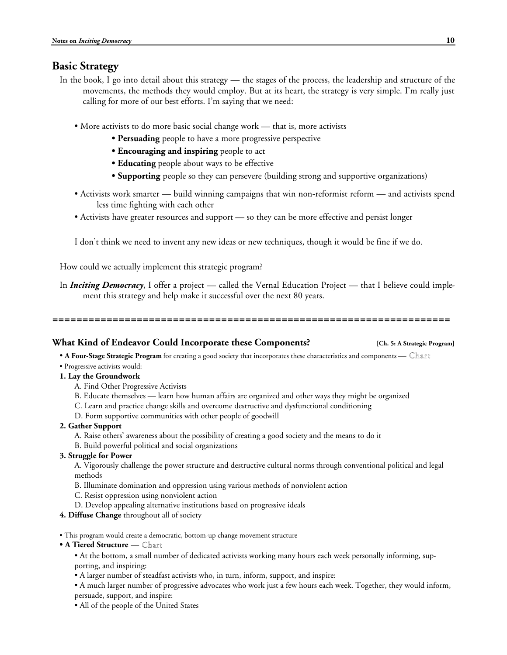# **Basic Strategy**

- In the book, I go into detail about this strategy the stages of the process, the leadership and structure of the movements, the methods they would employ. But at its heart, the strategy is very simple. I'm really just calling for more of our best efforts. I'm saying that we need:
	- More activists to do more basic social change work that is, more activists
		- **Persuading** people to have a more progressive perspective
		- **Encouraging and inspiring** people to act
		- **Educating** people about ways to be effective
		- **Supporting** people so they can persevere (building strong and supportive organizations)
	- Activists work smarter build winning campaigns that win non-reformist reform and activists spend less time fighting with each other
	- Activists have greater resources and support so they can be more effective and persist longer

I don't think we need to invent any new ideas or new techniques, though it would be fine if we do.

How could we actually implement this strategic program?

In *Inciting Democracy*, I offer a project — called the Vernal Education Project — that I believe could implement this strategy and help make it successful over the next 80 years.

**==================================================================**

#### **What Kind of Endeavor Could Incorporate these Components? [Ch. 5: A Strategic Program]**

• **A Four-Stage Strategic Program** for creating a good society that incorporates these characteristics and components — Chart

• Progressive activists would:

### **1. Lay the Groundwork**

- A. Find Other Progressive Activists
- B. Educate themselves learn how human affairs are organized and other ways they might be organized
- C. Learn and practice change skills and overcome destructive and dysfunctional conditioning
- D. Form supportive communities with other people of goodwill
- **2. Gather Support**
	- A. Raise others' awareness about the possibility of creating a good society and the means to do it
	- B. Build powerful political and social organizations
- **3. Struggle for Power**

A. Vigorously challenge the power structure and destructive cultural norms through conventional political and legal methods

- B. Illuminate domination and oppression using various methods of nonviolent action
- C. Resist oppression using nonviolent action
- D. Develop appealing alternative institutions based on progressive ideals

#### **4. Diffuse Change** throughout all of society

- This program would create a democratic, bottom-up change movement structure
- **A Tiered Structure** Chart

• At the bottom, a small number of dedicated activists working many hours each week personally informing, supporting, and inspiring:

• A larger number of steadfast activists who, in turn, inform, support, and inspire:

• A much larger number of progressive advocates who work just a few hours each week. Together, they would inform, persuade, support, and inspire:

• All of the people of the United States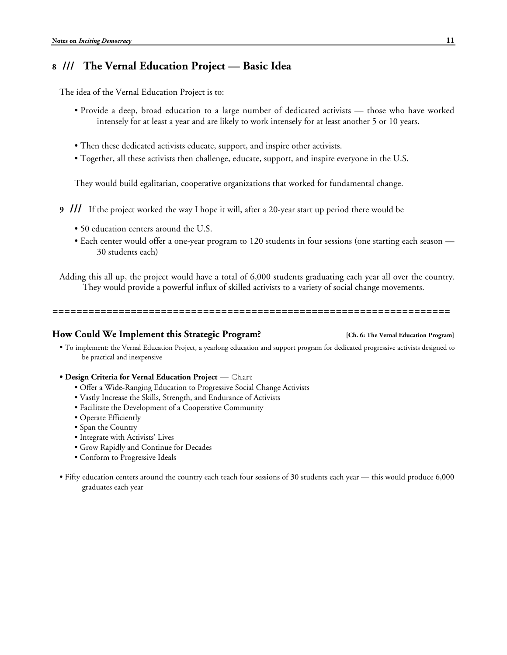# **8 /// The Vernal Education Project — Basic Idea**

The idea of the Vernal Education Project is to:

- Provide a deep, broad education to a large number of dedicated activists those who have worked intensely for at least a year and are likely to work intensely for at least another 5 or 10 years.
- Then these dedicated activists educate, support, and inspire other activists.
- Together, all these activists then challenge, educate, support, and inspire everyone in the U.S.

They would build egalitarian, cooperative organizations that worked for fundamental change.

- **9 ///** If the project worked the way I hope it will, after a 20-year start up period there would be
	- 50 education centers around the U.S.
	- Each center would offer a one-year program to 120 students in four sessions (one starting each season 30 students each)

Adding this all up, the project would have a total of 6,000 students graduating each year all over the country. They would provide a powerful influx of skilled activists to a variety of social change movements.

**==================================================================**

#### **How Could We Implement this Strategic Program? [Ch. 6: The Vernal Education Program]**

• To implement: the Vernal Education Project, a yearlong education and support program for dedicated progressive activists designed to be practical and inexpensive

#### **• Design Criteria for Vernal Education Project** — Chart

- Offer a Wide-Ranging Education to Progressive Social Change Activists
- Vastly Increase the Skills, Strength, and Endurance of Activists
- Facilitate the Development of a Cooperative Community
- Operate Efficiently
- Span the Country
- Integrate with Activists' Lives
- Grow Rapidly and Continue for Decades
- Conform to Progressive Ideals
- Fifty education centers around the country each teach four sessions of 30 students each year this would produce 6,000 graduates each year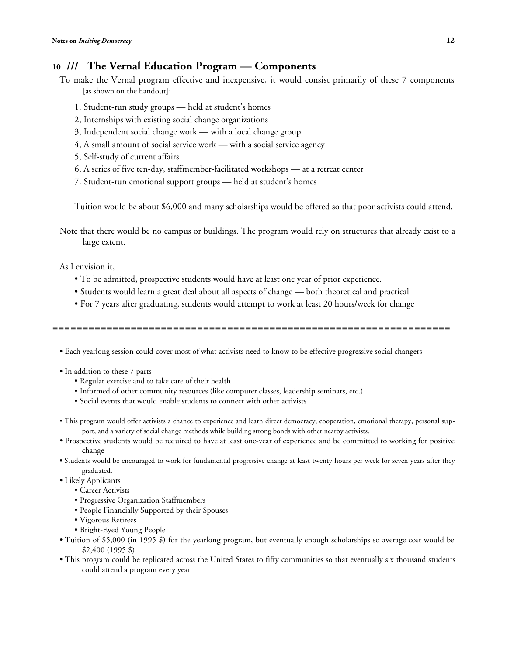# **10 /// The Vernal Education Program — Components**

- To make the Vernal program effective and inexpensive, it would consist primarily of these 7 components [as shown on the handout]:
	- 1. Student-run study groups held at student's homes
	- 2, Internships with existing social change organizations
	- 3, Independent social change work with a local change group
	- 4, A small amount of social service work with a social service agency
	- 5, Self-study of current affairs
	- 6, A series of five ten-day, staffmember-facilitated workshops at a retreat center
	- 7. Student-run emotional support groups held at student's homes

Tuition would be about \$6,000 and many scholarships would be offered so that poor activists could attend.

Note that there would be no campus or buildings. The program would rely on structures that already exist to a large extent.

### As I envision it,

- To be admitted, prospective students would have at least one year of prior experience.
- Students would learn a great deal about all aspects of change both theoretical and practical
- For 7 years after graduating, students would attempt to work at least 20 hours/week for change

**==================================================================**

• Each yearlong session could cover most of what activists need to know to be effective progressive social changers

- In addition to these 7 parts
	- Regular exercise and to take care of their health
	- Informed of other community resources (like computer classes, leadership seminars, etc.)
	- Social events that would enable students to connect with other activists
- This program would offer activists a chance to experience and learn direct democracy, cooperation, emotional therapy, personal support, and a variety of social change methods while building strong bonds with other nearby activists.
- Prospective students would be required to have at least one-year of experience and be committed to working for positive change
- Students would be encouraged to work for fundamental progressive change at least twenty hours per week for seven years after they graduated.
- Likely Applicants
	- Career Activists
	- Progressive Organization Staffmembers
	- People Financially Supported by their Spouses
	- Vigorous Retirees
	- Bright-Eyed Young People
- Tuition of \$5,000 (in 1995 \$) for the yearlong program, but eventually enough scholarships so average cost would be \$2,400 (1995 \$)
- This program could be replicated across the United States to fifty communities so that eventually six thousand students could attend a program every year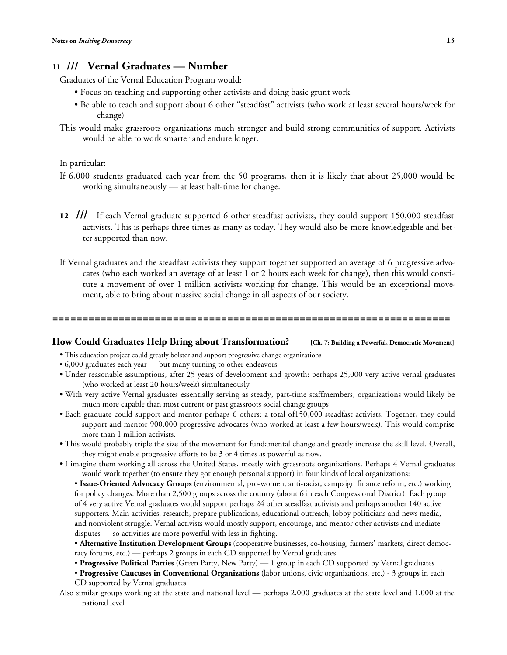# **11 /// Vernal Graduates — Number**

Graduates of the Vernal Education Program would:

- Focus on teaching and supporting other activists and doing basic grunt work
- Be able to teach and support about 6 other "steadfast" activists (who work at least several hours/week for change)
- This would make grassroots organizations much stronger and build strong communities of support. Activists would be able to work smarter and endure longer.

In particular:

- If 6,000 students graduated each year from the 50 programs, then it is likely that about 25,000 would be working simultaneously — at least half-time for change.
- **12 ///** If each Vernal graduate supported 6 other steadfast activists, they could support 150,000 steadfast activists. This is perhaps three times as many as today. They would also be more knowledgeable and better supported than now.
- If Vernal graduates and the steadfast activists they support together supported an average of 6 progressive advocates (who each worked an average of at least 1 or 2 hours each week for change), then this would constitute a movement of over 1 million activists working for change. This would be an exceptional movement, able to bring about massive social change in all aspects of our society.

**==================================================================**

#### **How Could Graduates Help Bring about Transformation? [Ch. 7: Building a Powerful, Democratic Movement]**

- This education project could greatly bolster and support progressive change organizations
- 6,000 graduates each year but many turning to other endeavors
- Under reasonable assumptions, after 25 years of development and growth: perhaps 25,000 very active vernal graduates (who worked at least 20 hours/week) simultaneously
- With very active Vernal graduates essentially serving as steady, part-time staffmembers, organizations would likely be much more capable than most current or past grassroots social change groups
- Each graduate could support and mentor perhaps 6 others: a total of150,000 steadfast activists. Together, they could support and mentor 900,000 progressive advocates (who worked at least a few hours/week). This would comprise more than 1 million activists.
- This would probably triple the size of the movement for fundamental change and greatly increase the skill level. Overall, they might enable progressive efforts to be 3 or 4 times as powerful as now.
- I imagine them working all across the United States, mostly with grassroots organizations. Perhaps 4 Vernal graduates would work together (to ensure they got enough personal support) in four kinds of local organizations:
	- **Issue-Oriented Advocacy Groups** (environmental, pro-women, anti-racist, campaign finance reform, etc.) working for policy changes. More than 2,500 groups across the country (about 6 in each Congressional District). Each group of 4 very active Vernal graduates would support perhaps 24 other steadfast activists and perhaps another 140 active supporters. Main activities: research, prepare publications, educational outreach, lobby politicians and news media, and nonviolent struggle. Vernal activists would mostly support, encourage, and mentor other activists and mediate disputes — so activities are more powerful with less in-fighting.
	- **Alternative Institution Development Groups** (cooperative businesses, co-housing, farmers' markets, direct democracy forums, etc.) — perhaps 2 groups in each CD supported by Vernal graduates
	- **Progressive Political Parties** (Green Party, New Party) 1 group in each CD supported by Vernal graduates
	- **Progressive Caucuses in Conventional Organizations** (labor unions, civic organizations, etc.) 3 groups in each CD supported by Vernal graduates
- Also similar groups working at the state and national level perhaps 2,000 graduates at the state level and 1,000 at the national level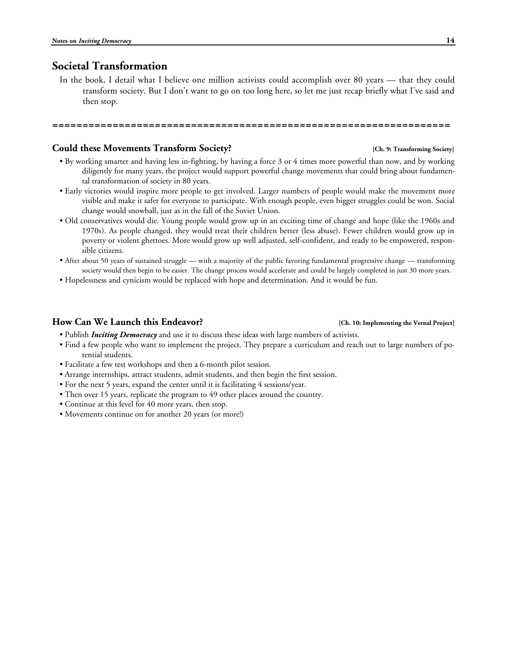# **Societal Transformation**

In the book, I detail what I believe one million activists could accomplish over 80 years — that they could transform society. But I don't want to go on too long here, so let me just recap briefly what I've said and then stop.

**==================================================================**

#### **Could these Movements Transform Society? [Ch. 9: Transforming Society]**

- By working smarter and having less in-fighting, by having a force 3 or 4 times more powerful than now, and by working diligently for many years, the project would support powerful change movements that could bring about fundamental transformation of society in 80 years.
- Early victories would inspire more people to get involved. Larger numbers of people would make the movement more visible and make it safer for everyone to participate. With enough people, even bigger struggles could be won. Social change would snowball, just as in the fall of the Soviet Union.
- Old conservatives would die. Young people would grow up in an exciting time of change and hope (like the 1960s and 1970s). As people changed, they would treat their children better (less abuse). Fewer children would grow up in poverty or violent ghettoes. More would grow up well adjusted, self-confident, and ready to be empowered, responsible citizens.
- After about 50 years of sustained struggle with a majority of the public favoring fundamental progressive change transforming society would then begin to be easier. The change process would accelerate and could be largely completed in just 30 more years.
- Hopelessness and cynicism would be replaced with hope and determination. And it would be fun.

#### **How Can We Launch this Endeavor? [Ch. 10: Implementing the Vernal Project]**

- Publish *Inciting Democracy* and use it to discuss these ideas with large numbers of activists.
- Find a few people who want to implement the project. They prepare a curriculum and reach out to large numbers of potential students.
- Facilitate a few test workshops and then a 6-month pilot session.
- Arrange internships, attract students, admit students, and then begin the first session.
- For the next 5 years, expand the center until it is facilitating 4 sessions/year.
- Then over 15 years, replicate the program to 49 other places around the country.
- Continue at this level for 40 more years, then stop.
- Movements continue on for another 20 years (or more!)